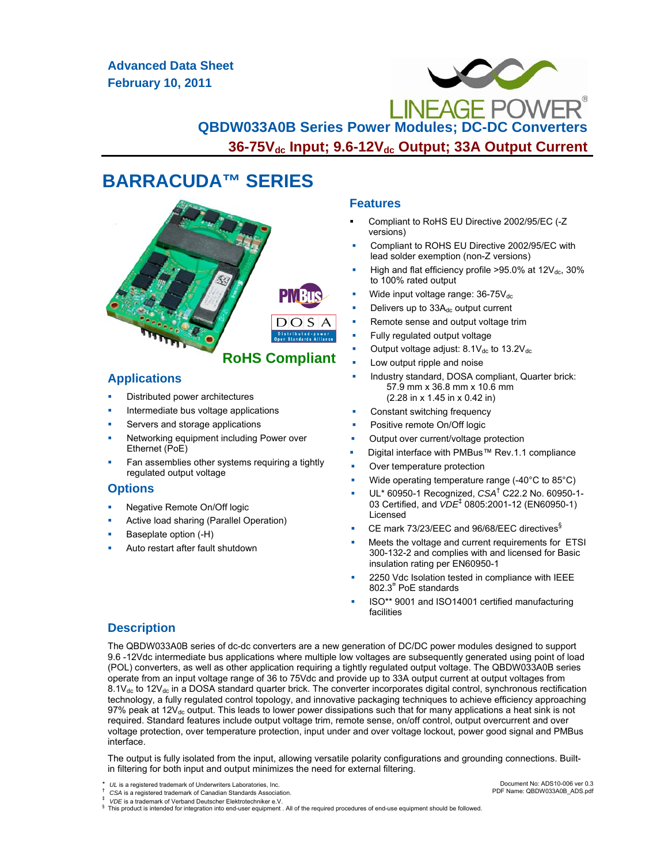**Advanced Data Sheet February 10, 2011**



# **BARRACUDA™ SERIES**



### **Applications**

- Distributed power architectures
- Intermediate bus voltage applications
- Servers and storage applications
- Networking equipment including Power over Ethernet (PoE)
- Fan assemblies other systems requiring a tightly regulated output voltage

### **Options**

- Negative Remote On/Off logic
- Active load sharing (Parallel Operation)
- Baseplate option (-H)
- Auto restart after fault shutdown

### **Features**

- Compliant to RoHS EU Directive 2002/95/EC (-Z versions)
- Compliant to ROHS EU Directive 2002/95/EC with lead solder exemption (non-Z versions)
- High and flat efficiency profile  $>95.0\%$  at  $12V_{dc}$ ,  $30\%$ to 100% rated output
- Wide input voltage range:  $36-75V_{dc}$
- Delivers up to 33A<sub>dc</sub> output current
- Remote sense and output voltage trim
- Fully regulated output voltage
- Output voltage adjust:  $8.1V_{dc}$  to  $13.2V_{dc}$
- Low output ripple and noise
- Industry standard, DOSA compliant, Quarter brick: 57.9 mm x 36.8 mm x 10.6 mm (2.28 in x 1.45 in x 0.42 in)
- Constant switching frequency
- Positive remote On/Off logic
- Output over current/voltage protection
- Digital interface with PMBus™ Rev.1.1 compliance
- Over temperature protection
- Wide operating temperature range (-40°C to 85°C)
- UL\* 60950-1 Recognized, *CSA*† C22.2 No. 60950-1- 03 Certified, and *VDE*‡ 0805:2001-12 (EN60950-1) Licensed
- CE mark 73/23/EEC and 96/68/EEC directives§
- Meets the voltage and current requirements for ETSI 300-132-2 and complies with and licensed for Basic insulation rating per EN60950-1
- 2250 Vdc Isolation tested in compliance with IEEE 802.3¤ PoE standards
- ISO\*\* 9001 and ISO14001 certified manufacturing facilities

### **Description**

The QBDW033A0B series of dc-dc converters are a new generation of DC/DC power modules designed to support 9.6 -12Vdc intermediate bus applications where multiple low voltages are subsequently generated using point of load (POL) converters, as well as other application requiring a tightly regulated output voltage. The QBDW033A0B series operate from an input voltage range of 36 to 75Vdc and provide up to 33A output current at output voltages from  $8.1V_{dc}$  to 12V<sub>dc</sub> in a DOSA standard quarter brick. The converter incorporates digital control, synchronous rectification technology, a fully regulated control topology, and innovative packaging techniques to achieve efficiency approaching 97% peak at  $12V_{dc}$  output. This leads to lower power dissipations such that for many applications a heat sink is not required. Standard features include output voltage trim, remote sense, on/off control, output overcurrent and over voltage protection, over temperature protection, input under and over voltage lockout, power good signal and PMBus interface.

The output is fully isolated from the input, allowing versatile polarity configurations and grounding connections. Builtin filtering for both input and output minimizes the need for external filtering.

This product is intended for integration into end-user equipment . All of the required procedures of end-use equipment should be followed.

Document No: ADS10-006 ver 0.3 PDF Name: QBDW033A0B\_ADS.pdf

*UL* is a registered trademark of Underwriters Laboratories, Inc. *CSA* is a registered trademark of Canadian Standards Association. *<br>
<i>VDE* is a trademark of Verband Deutscher Elektrotechniker e.V.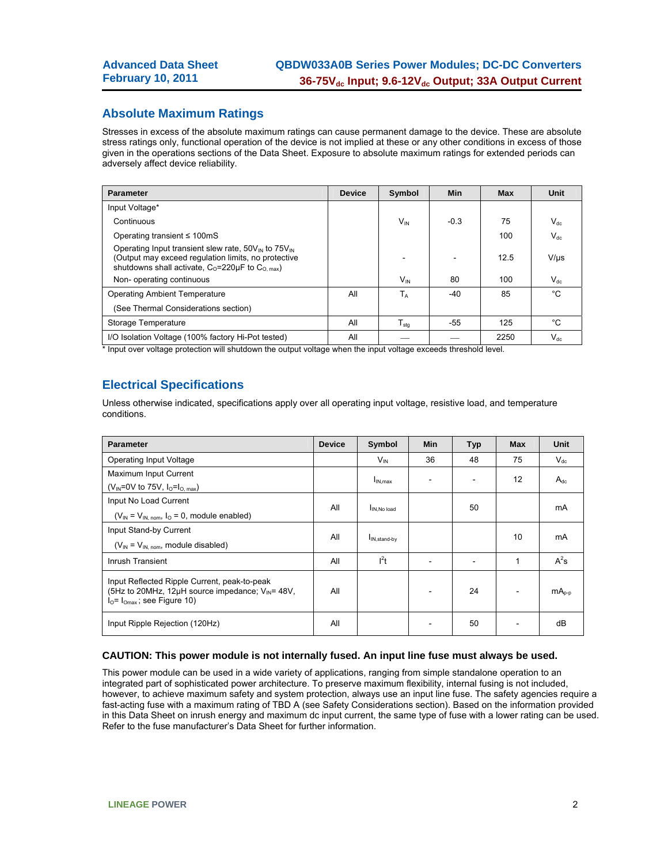### **Absolute Maximum Ratings**

Stresses in excess of the absolute maximum ratings can cause permanent damage to the device. These are absolute stress ratings only, functional operation of the device is not implied at these or any other conditions in excess of those given in the operations sections of the Data Sheet. Exposure to absolute maximum ratings for extended periods can adversely affect device reliability.

| <b>Parameter</b>                                                                                                                                                                                | <b>Device</b> | Symbol              | <b>Min</b> | <b>Max</b> | <b>Unit</b> |
|-------------------------------------------------------------------------------------------------------------------------------------------------------------------------------------------------|---------------|---------------------|------------|------------|-------------|
| Input Voltage*                                                                                                                                                                                  |               |                     |            |            |             |
| Continuous                                                                                                                                                                                      |               | $V_{IN}$            | $-0.3$     | 75         | $V_{dc}$    |
| Operating transient $\leq 100 \text{mS}$                                                                                                                                                        |               |                     |            | 100        | $V_{dc}$    |
| Operating Input transient slew rate, $50V_{\text{IN}}$ to $75V_{\text{IN}}$<br>(Output may exceed regulation limits, no protective<br>shutdowns shall activate, $C_0 = 220 \mu F$ to $C_0$ max) |               |                     |            | 12.5       | $V/\mu s$   |
| Non-operating continuous                                                                                                                                                                        |               | $V_{\text{IN}}$     | 80         | 100        | $V_{dc}$    |
| <b>Operating Ambient Temperature</b>                                                                                                                                                            | All           | $T_A$               | $-40$      | 85         | °C          |
| (See Thermal Considerations section)                                                                                                                                                            |               |                     |            |            |             |
| Storage Temperature                                                                                                                                                                             | All           | ${\sf T}_{\sf stg}$ | $-55$      | 125        | °C          |
| I/O Isolation Voltage (100% factory Hi-Pot tested)                                                                                                                                              | All           |                     |            | 2250       | $V_{dc}$    |

\* Input over voltage protection will shutdown the output voltage when the input voltage exceeds threshold level.

### **Electrical Specifications**

Unless otherwise indicated, specifications apply over all operating input voltage, resistive load, and temperature conditions.

| <b>Parameter</b>                                                                                                                                   | <b>Device</b> | Symbol                    | Min | <b>Typ</b> | <b>Max</b> | <b>Unit</b> |
|----------------------------------------------------------------------------------------------------------------------------------------------------|---------------|---------------------------|-----|------------|------------|-------------|
| <b>Operating Input Voltage</b>                                                                                                                     |               | $V_{IN}$                  | 36  | 48         | 75         | $V_{dc}$    |
| Maximum Input Current                                                                                                                              |               | $I_{IN,max}$              |     |            | 12         | $A_{dc}$    |
| (V <sub>IN</sub> =0V to 75V, $I_0=I_0$ <sub>max</sub> )                                                                                            |               |                           |     |            |            |             |
| Input No Load Current                                                                                                                              | All           |                           |     |            |            |             |
| $(V_{IN} = V_{IN, nom}, I_0 = 0$ , module enabled)                                                                                                 |               | IN, No load               |     | 50         |            | mA          |
| Input Stand-by Current                                                                                                                             | All           |                           |     |            | 10         | mA          |
| $(V_{IN} = V_{IN, nom},$ module disabled)                                                                                                          |               | I <sub>IN, stand-by</sub> |     |            |            |             |
| Inrush Transient                                                                                                                                   | All           | $l^2t$                    |     |            | 1          | $A^2s$      |
| Input Reflected Ripple Current, peak-to-peak<br>(5Hz to 20MHz, 12 $\mu$ H source impedance; $V_{\text{IN}}$ = 48V,<br>$IO= IOmax$ ; see Figure 10) | All           |                           |     | 24         |            | $mAo-p$     |
| Input Ripple Rejection (120Hz)                                                                                                                     | All           |                           |     | 50         |            | dB          |

#### **CAUTION: This power module is not internally fused. An input line fuse must always be used.**

This power module can be used in a wide variety of applications, ranging from simple standalone operation to an integrated part of sophisticated power architecture. To preserve maximum flexibility, internal fusing is not included, however, to achieve maximum safety and system protection, always use an input line fuse. The safety agencies require a fast-acting fuse with a maximum rating of TBD A (see Safety Considerations section). Based on the information provided in this Data Sheet on inrush energy and maximum dc input current, the same type of fuse with a lower rating can be used. Refer to the fuse manufacturer's Data Sheet for further information.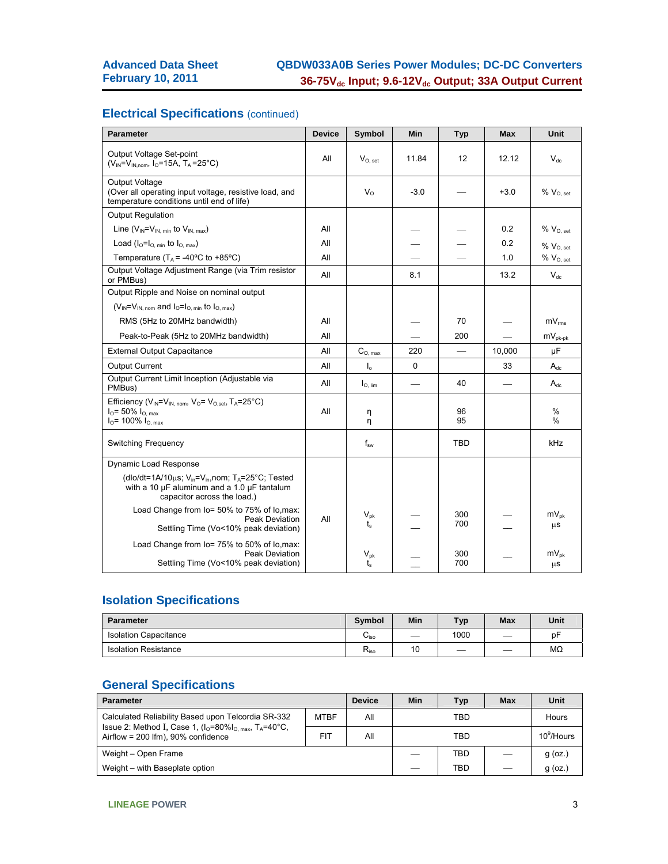### **Electrical Specifications (continued)**

| <b>Parameter</b>                                                                                                                                                          | <b>Device</b> | Symbol             | Min    | <b>Typ</b> | <b>Max</b>               | Unit                    |
|---------------------------------------------------------------------------------------------------------------------------------------------------------------------------|---------------|--------------------|--------|------------|--------------------------|-------------------------|
| Output Voltage Set-point<br>$(V_{IN} = V_{IN.nom}, I_{O} = 15A, T_A = 25^{\circ}C)$                                                                                       | All           | $V_{O, set}$       | 11.84  | 12         | 12.12                    | $V_{dc}$                |
| Output Voltage<br>(Over all operating input voltage, resistive load, and<br>temperature conditions until end of life)                                                     |               | $V_{\Omega}$       | $-3.0$ |            | $+3.0$                   | $% V_{O, set}$          |
| <b>Output Regulation</b>                                                                                                                                                  |               |                    |        |            |                          |                         |
| Line $(V_{IN} = V_{IN\_min}$ to $V_{IN\_max}$ )                                                                                                                           | All           |                    |        |            | 0.2                      | $% V_{O, set}$          |
| Load $(I_0=I_0$ min to $I_0$ max)                                                                                                                                         | All           |                    |        |            | 0.2                      | $\%$ $V_{O, set}$       |
| Temperature ( $T_A$ = -40°C to +85°C)                                                                                                                                     | All           |                    |        |            | 1.0                      | $\%$ $\rm V_{O,\, set}$ |
| Output Voltage Adjustment Range (via Trim resistor<br>or PMBus)                                                                                                           | All           |                    | 8.1    |            | 13.2                     | $V_{dc}$                |
| Output Ripple and Noise on nominal output                                                                                                                                 |               |                    |        |            |                          |                         |
| $(V_{IN} = V_{IN \ nom}$ and $I_0 = I_{O \ nion}$ to $I_{O \ nax}$ )                                                                                                      |               |                    |        |            |                          |                         |
| RMS (5Hz to 20MHz bandwidth)                                                                                                                                              | All           |                    |        | 70         |                          | $mV_{rms}$              |
| Peak-to-Peak (5Hz to 20MHz bandwidth)                                                                                                                                     | All           |                    |        | 200        |                          | $mV_{pk-pk}$            |
| <b>External Output Capacitance</b>                                                                                                                                        | All           | $C_{O. max}$       | 220    |            | 10,000                   | μF                      |
| <b>Output Current</b>                                                                                                                                                     | All           | $\mathsf{I}_0$     | 0      |            | 33                       | $A_{dc}$                |
| Output Current Limit Inception (Adjustable via<br>PMBus)                                                                                                                  | All           | $I_{O, \, lim}$    |        | 40         | $\overline{\phantom{0}}$ | $A_{dc}$                |
| Efficiency ( $V_{IN} = V_{IN.}$ nom, $V_{O} = V_{O.}$ set, $T_A = 25^{\circ}C$ )<br>$IO$ = 50% $IO. max$<br>$IO$ = 100% $IO. max$                                         | All           | η<br>η             |        | 96<br>95   |                          | $\%$<br>$\%$            |
| <b>Switching Frequency</b>                                                                                                                                                |               | $f_{sw}$           |        | TBD        |                          | kHz                     |
| Dynamic Load Response                                                                                                                                                     |               |                    |        |            |                          |                         |
| (dlo/dt=1A/10 $\mu$ s; V <sub>in</sub> =V <sub>in</sub> , nom; T <sub>A</sub> =25°C; Tested<br>with a 10 µF aluminum and a 1.0 µF tantalum<br>capacitor across the load.) |               |                    |        |            |                          |                         |
| Load Change from lo= 50% to 75% of lo, max:<br><b>Peak Deviation</b><br>Settling Time (Vo<10% peak deviation)                                                             | All           | $V_{\rm pk}$<br>t. |        | 300<br>700 |                          | $mV_{\text{pk}}$<br>μS  |
| Load Change from lo= 75% to 50% of lo, max:<br>Peak Deviation<br>Settling Time (Vo<10% peak deviation)                                                                    |               | $V_{pk}$<br>t.     |        | 300<br>700 |                          | $mV_{pk}$<br>μS         |

## **Isolation Specifications**

| <b>Parameter</b>             | <b>Symbol</b>               | Min | Typ  | <b>Max</b> | Unit |
|------------------------------|-----------------------------|-----|------|------------|------|
| <b>Isolation Capacitance</b> | $\mathsf{u}_{\mathsf{iso}}$ | _   | 1000 |            | рF   |
| <b>Isolation Resistance</b>  | $R_{iso}$                   | 10  |      |            | MΩ   |

### **General Specifications**

| <b>Parameter</b>                                                                                |             | <b>Device</b> | Min | Typ        | Max       | Unit  |  |  |
|-------------------------------------------------------------------------------------------------|-------------|---------------|-----|------------|-----------|-------|--|--|
| Calculated Reliability Based upon Telcordia SR-332                                              | <b>MTBF</b> | All           |     | TBD        |           | Hours |  |  |
| Issue 2: Method I, Case 1, $(I0=80\%I0,max, TA=40°C$<br>Airflow = $200$ lfm), $90\%$ confidence | <b>FIT</b>  | All           |     | <b>TBD</b> |           |       |  |  |
| Weight - Open Frame                                                                             |             |               | TBD |            | $g$ (oz.) |       |  |  |
| Weight – with Baseplate option                                                                  |             |               | TBD |            | $g$ (oz.) |       |  |  |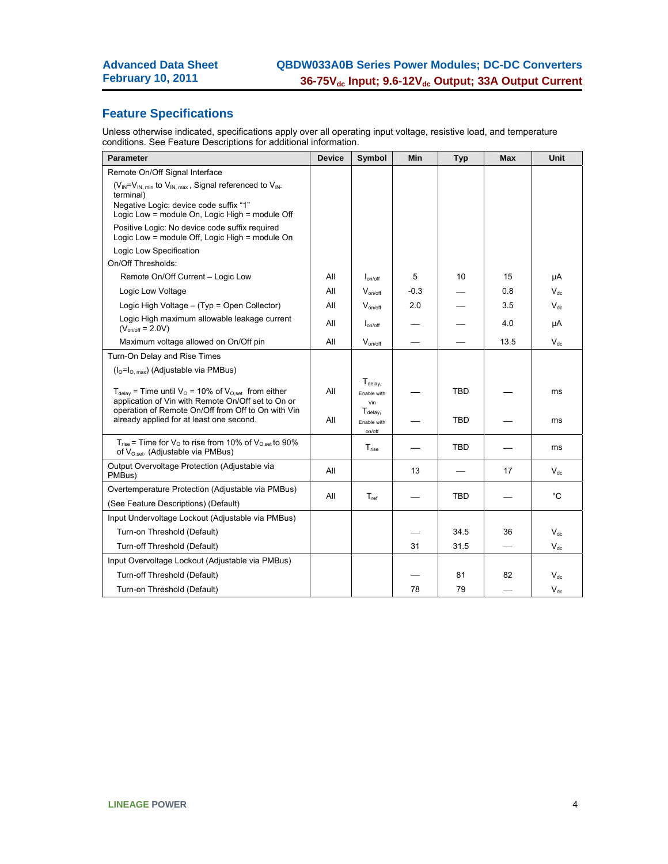### **Feature Specifications**

Unless otherwise indicated, specifications apply over all operating input voltage, resistive load, and temperature conditions. See Feature Descriptions for additional information.

| <b>Parameter</b>                                                                                                                             | <b>Device</b> | Symbol                                      | Min    | <b>Typ</b> | <b>Max</b> | Unit         |
|----------------------------------------------------------------------------------------------------------------------------------------------|---------------|---------------------------------------------|--------|------------|------------|--------------|
| Remote On/Off Signal Interface                                                                                                               |               |                                             |        |            |            |              |
| $(V_{IN} = V_{IN. min}$ to $V_{IN. max}$ , Signal referenced to $V_{IN}$ .<br>terminal)                                                      |               |                                             |        |            |            |              |
| Negative Logic: device code suffix "1"<br>Logic Low = module On, Logic High = module Off                                                     |               |                                             |        |            |            |              |
| Positive Logic: No device code suffix required<br>Logic Low = module Off, Logic High = module On                                             |               |                                             |        |            |            |              |
| Logic Low Specification                                                                                                                      |               |                                             |        |            |            |              |
| On/Off Thresholds:                                                                                                                           |               |                                             |        |            |            |              |
| Remote On/Off Current - Logic Low                                                                                                            | All           | $I_{on/off}$                                | 5      | 10         | 15         | μA           |
| Logic Low Voltage                                                                                                                            | ΑIΙ           | $V_{on/off}$                                | $-0.3$ |            | 0.8        | $V_{dc}$     |
| Logic High Voltage - (Typ = Open Collector)                                                                                                  | All           | $V_{on/off}$                                | 2.0    |            | 3.5        | $V_{dc}$     |
| Logic High maximum allowable leakage current<br>$(V_{on/off} = 2.0 V)$                                                                       | All           | $I_{on/off}$                                |        |            | 4.0        | μA           |
| Maximum voltage allowed on On/Off pin                                                                                                        | All           | $V_{on/off}$                                |        |            | 13.5       | $V_{dc}$     |
| Turn-On Delay and Rise Times                                                                                                                 |               |                                             |        |            |            |              |
| $(l0=l0. max)$ (Adjustable via PMBus)                                                                                                        |               |                                             |        |            |            |              |
| $T_{\text{delay}}$ = Time until $V_{\text{O}}$ = 10% of $V_{\text{O.set}}$ from either<br>application of Vin with Remote On/Off set to On or | All           | $T_{\text{delay}}$<br>Fnable with<br>Vin    |        | <b>TBD</b> |            | ms           |
| operation of Remote On/Off from Off to On with Vin<br>already applied for at least one second.                                               | All           | $T_{\text{delay}}$<br>Enable with<br>on/off |        | <b>TBD</b> |            | ms           |
| $T_{rise}$ = Time for $V_{O}$ to rise from 10% of $V_{O,set}$ to 90%<br>of $V_{O,set}$ . (Adjustable via PMBus)                              |               | $T_{rise}$                                  |        | <b>TBD</b> |            | ms           |
| Output Overvoltage Protection (Adjustable via<br>PMBus)                                                                                      | All           |                                             | 13     |            | 17         | $V_{dc}$     |
| Overtemperature Protection (Adjustable via PMBus)                                                                                            | All           | $T_{ref}$                                   |        | TBD        |            | $^{\circ}$ C |
| (See Feature Descriptions) (Default)                                                                                                         |               |                                             |        |            |            |              |
| Input Undervoltage Lockout (Adjustable via PMBus)                                                                                            |               |                                             |        |            |            |              |
| Turn-on Threshold (Default)                                                                                                                  |               |                                             |        | 34.5       | 36         | $V_{dc}$     |
| Turn-off Threshold (Default)                                                                                                                 |               |                                             | 31     | 31.5       |            | $V_{dc}$     |
| Input Overvoltage Lockout (Adjustable via PMBus)                                                                                             |               |                                             |        |            |            |              |
| Turn-off Threshold (Default)                                                                                                                 |               |                                             |        | 81         | 82         | $V_{dc}$     |
| Turn-on Threshold (Default)                                                                                                                  |               |                                             | 78     | 79         |            | $V_{dc}$     |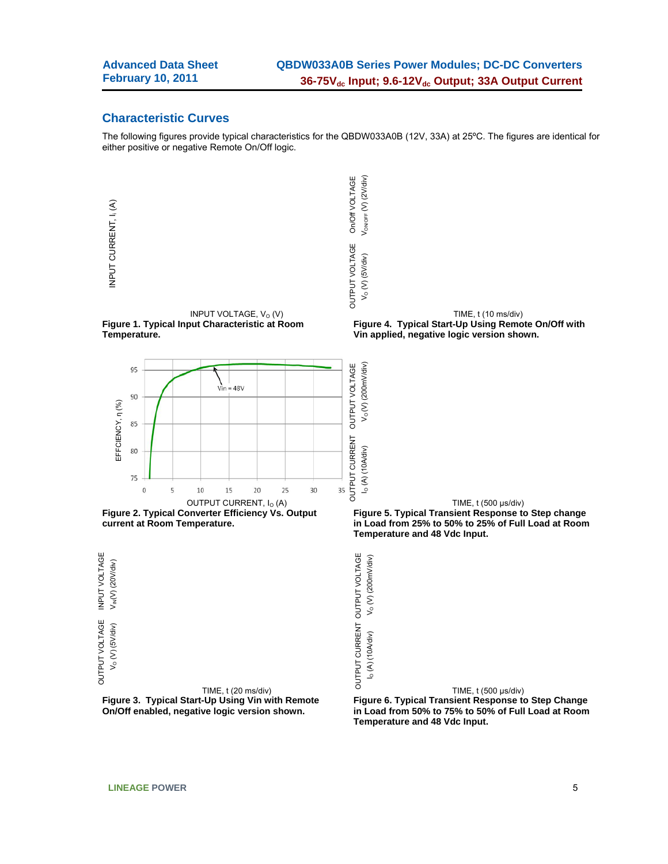#### **Characteristic Curves**

The following figures provide typical characteristics for the QBDW033A0B (12V, 33A) at 25ºC. The figures are identical for either positive or negative Remote On/Off logic.

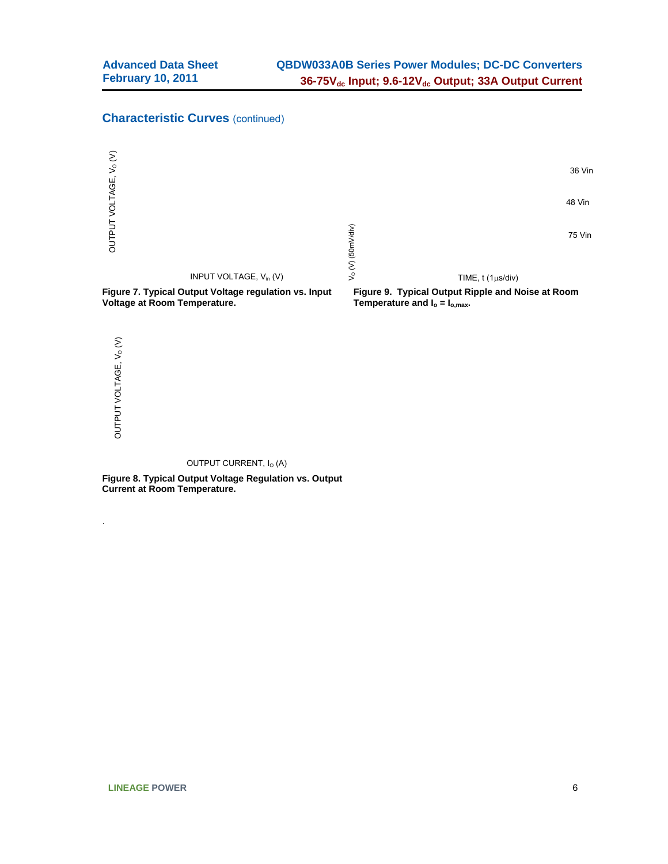### **Characteristic Curves** (continued)



OUTPUT CURRENT, I<sub>O</sub> (A)

**Figure 8. Typical Output Voltage Regulation vs. Output Current at Room Temperature.** 

.

OUTPUT VOLTAGE, VO (V)

OUTPUT VOLTAGE, V<sub>o</sub>(V)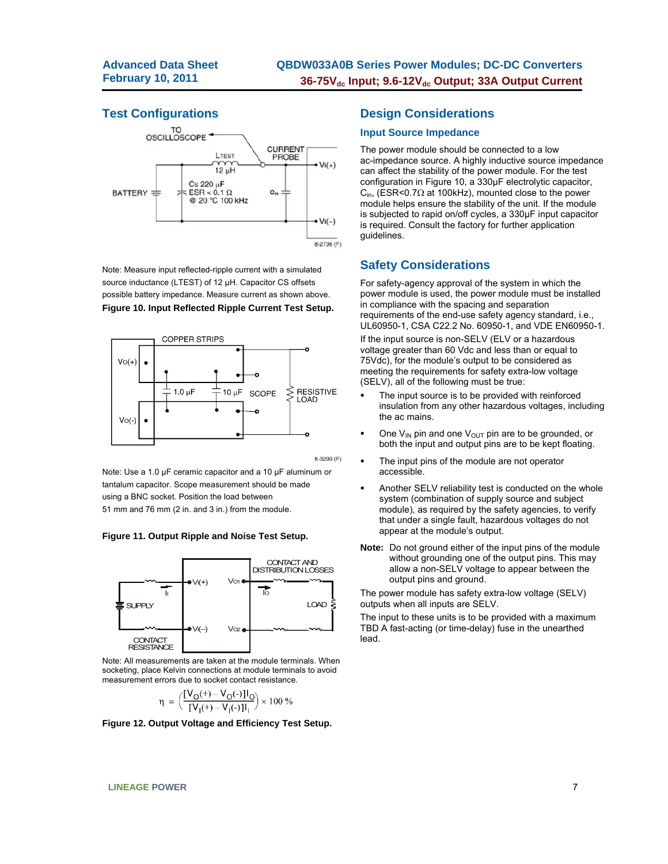### **Test Configurations**



Note: Measure input reflected-ripple current with a simulated source inductance (LTEST) of 12 µH. Capacitor CS offsets possible battery impedance. Measure current as shown above. **Figure 10. Input Reflected Ripple Current Test Setup.** 



8-3299 (F)

Note: Use a 1.0 µF ceramic capacitor and a 10 µF aluminum or tantalum capacitor. Scope measurement should be made using a BNC socket. Position the load between 51 mm and 76 mm (2 in. and 3 in.) from the module.

#### **Figure 11. Output Ripple and Noise Test Setup.**



Note: All measurements are taken at the module terminals. When socketing, place Kelvin connections at module terminals to avoid measurement errors due to socket contact resistance.

$$
\eta\ =\ \bigg(\frac{[V_O(\text{+})-V_O(\text{-})]I_O}{[V_I(\text{+})-V_I(\text{-})]I_I}\bigg)\times 100\ \%
$$

**Figure 12. Output Voltage and Efficiency Test Setup.** 

### **Design Considerations**

#### **Input Source Impedance**

The power module should be connected to a low ac-impedance source. A highly inductive source impedance can affect the stability of the power module. For the test configuration in Figure 10, a 330μF electrolytic capacitor,  $C_{\text{in}}$ , (ESR<0.7 $\Omega$  at 100kHz), mounted close to the power module helps ensure the stability of the unit. If the module is subjected to rapid on/off cycles, a 330μF input capacitor is required. Consult the factory for further application guidelines.

### **Safety Considerations**

For safety-agency approval of the system in which the power module is used, the power module must be installed in compliance with the spacing and separation requirements of the end-use safety agency standard, i.e., UL60950-1, CSA C22.2 No. 60950-1, and VDE EN60950-1.

If the input source is non-SELV (ELV or a hazardous voltage greater than 60 Vdc and less than or equal to 75Vdc), for the module's output to be considered as meeting the requirements for safety extra-low voltage (SELV), all of the following must be true:

- The input source is to be provided with reinforced insulation from any other hazardous voltages, including the ac mains.
- One  $V_{IN}$  pin and one  $V_{OUT}$  pin are to be grounded, or both the input and output pins are to be kept floating.
- The input pins of the module are not operator accessible.
- Another SELV reliability test is conducted on the whole system (combination of supply source and subject module), as required by the safety agencies, to verify that under a single fault, hazardous voltages do not appear at the module's output.
- **Note:** Do not ground either of the input pins of the module without grounding one of the output pins. This may allow a non-SELV voltage to appear between the output pins and ground.

The power module has safety extra-low voltage (SELV) outputs when all inputs are SELV.

The input to these units is to be provided with a maximum TBD A fast-acting (or time-delay) fuse in the unearthed lead.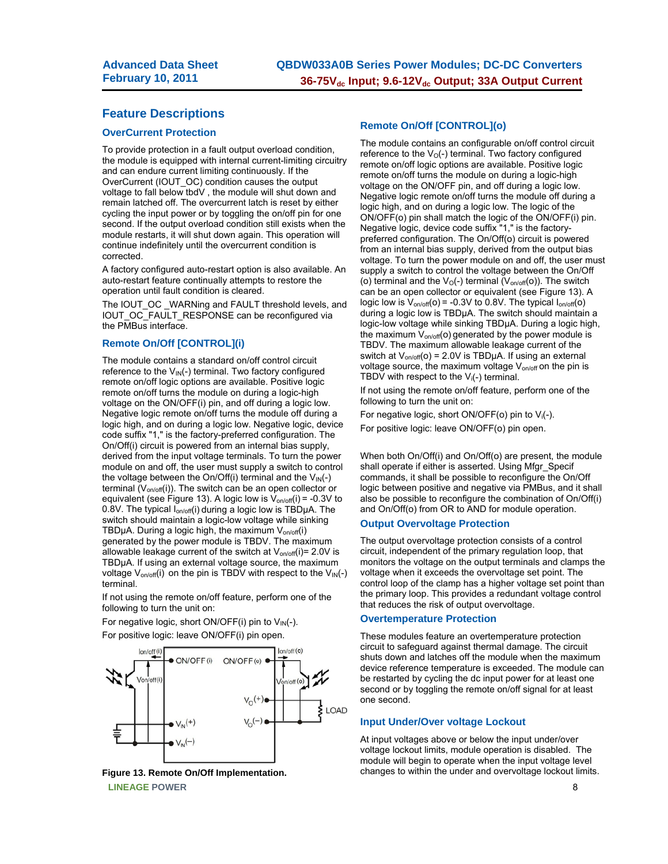### **Feature Descriptions**

#### **OverCurrent Protection**

To provide protection in a fault output overload condition, the module is equipped with internal current-limiting circuitry and can endure current limiting continuously. If the OverCurrent (IOUT\_OC) condition causes the output voltage to fall below tbdV , the module will shut down and remain latched off. The overcurrent latch is reset by either cycling the input power or by toggling the on/off pin for one second. If the output overload condition still exists when the module restarts, it will shut down again. This operation will continue indefinitely until the overcurrent condition is corrected.

A factory configured auto-restart option is also available. An auto-restart feature continually attempts to restore the operation until fault condition is cleared.

The IOUT\_OC \_WARNing and FAULT threshold levels, and IOUT\_OC\_FAULT\_RESPONSE can be reconfigured via the PMBus interface.

#### **Remote On/Off [CONTROL](i)**

The module contains a standard on/off control circuit reference to the  $V_{\text{IN}}(-)$  terminal. Two factory configured remote on/off logic options are available. Positive logic remote on/off turns the module on during a logic-high voltage on the ON/OFF(i) pin, and off during a logic low. Negative logic remote on/off turns the module off during a logic high, and on during a logic low. Negative logic, device code suffix "1," is the factory-preferred configuration. The On/Off(i) circuit is powered from an internal bias supply, derived from the input voltage terminals. To turn the power module on and off, the user must supply a switch to control the voltage between the On/Off(i) terminal and the  $V_{\text{IN}}(-)$ terminal  $(V_{on/off}(i))$ . The switch can be an open collector or equivalent (see Figure 13). A logic low is  $V_{on/off}(i) = -0.3V$  to 0.8V. The typical  $I_{on/off}(i)$  during a logic low is TBD $\mu$ A. The switch should maintain a logic-low voltage while sinking TBDµA. During a logic high, the maximum  $V_{on/off}(i)$ generated by the power module is TBDV. The maximum allowable leakage current of the switch at  $V_{on/off}(i) = 2.0V$  is TBDµA. If using an external voltage source, the maximum voltage  $V_{on/off}(i)$  on the pin is TBDV with respect to the  $V_{IN}(-)$ terminal.

If not using the remote on/off feature, perform one of the following to turn the unit on:

For negative logic, short ON/OFF(i) pin to  $V_{IN}(-)$ . For positive logic: leave ON/OFF(i) pin open.



**LINEAGE POWER** 8 **Figure 13. Remote On/Off Implementation.** 

#### **Remote On/Off [CONTROL](o)**

The module contains an configurable on/off control circuit reference to the  $V_0$ (-) terminal. Two factory configured remote on/off logic options are available. Positive logic remote on/off turns the module on during a logic-high voltage on the ON/OFF pin, and off during a logic low. Negative logic remote on/off turns the module off during a logic high, and on during a logic low. The logic of the ON/OFF(o) pin shall match the logic of the ON/OFF(i) pin. Negative logic, device code suffix "1," is the factorypreferred configuration. The On/Off(o) circuit is powered from an internal bias supply, derived from the output bias voltage. To turn the power module on and off, the user must supply a switch to control the voltage between the On/Off (o) terminal and the  $V_O(-)$  terminal ( $V_{on/off}(o)$ ). The switch can be an open collector or equivalent (see Figure 13). A logic low is  $V_{on/off}(o) = -0.3V$  to 0.8V. The typical  $I_{on/off}(o)$ during a logic low is TBDµA. The switch should maintain a logic-low voltage while sinking TBDµA. During a logic high, the maximum  $V_{on/off}$ (o) generated by the power module is TBDV. The maximum allowable leakage current of the switch at  $V_{on/off}(o) = 2.0V$  is TBDµA. If using an external voltage source, the maximum voltage  $V_{on/off}$  on the pin is TBDV with respect to the  $V_i(-)$  terminal.

If not using the remote on/off feature, perform one of the following to turn the unit on:

For negative logic, short ON/OFF( $o$ ) pin to  $V_i(-)$ .

For positive logic: leave ON/OFF(o) pin open.

When both On/Off(i) and On/Off(o) are present, the module shall operate if either is asserted. Using Mfgr\_Specif commands, it shall be possible to reconfigure the On/Off logic between positive and negative via PMBus, and it shall also be possible to reconfigure the combination of On/Off(i) and On/Off(o) from OR to AND for module operation.

#### **Output Overvoltage Protection**

The output overvoltage protection consists of a control circuit, independent of the primary regulation loop, that monitors the voltage on the output terminals and clamps the voltage when it exceeds the overvoltage set point. The control loop of the clamp has a higher voltage set point than the primary loop. This provides a redundant voltage control that reduces the risk of output overvoltage.

#### **Overtemperature Protection**

These modules feature an overtemperature protection circuit to safeguard against thermal damage. The circuit shuts down and latches off the module when the maximum device reference temperature is exceeded. The module can be restarted by cycling the dc input power for at least one second or by toggling the remote on/off signal for at least one second.

#### **Input Under/Over voltage Lockout**

At input voltages above or below the input under/over voltage lockout limits, module operation is disabled. The module will begin to operate when the input voltage level changes to within the under and overvoltage lockout limits.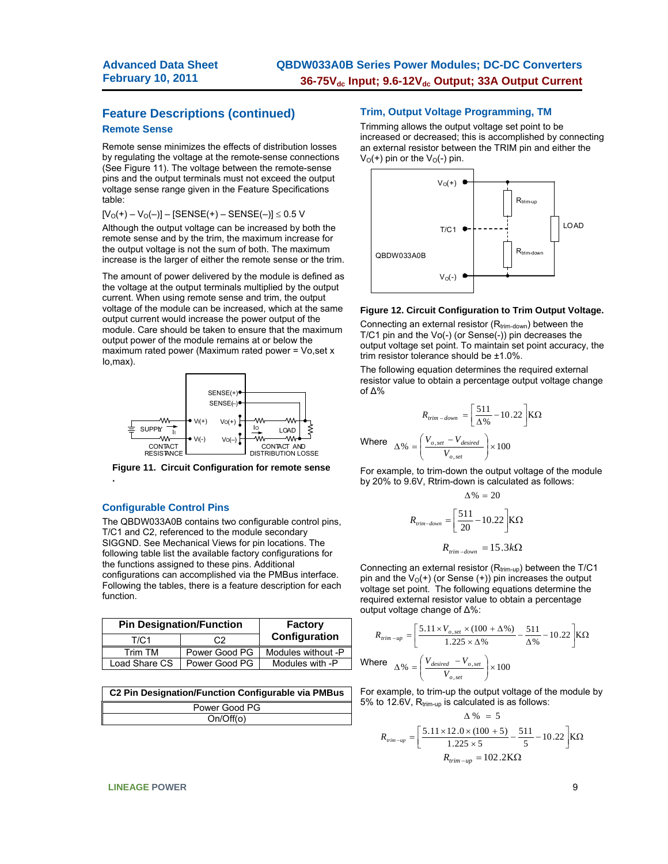### **Feature Descriptions (continued) Remote Sense**

Remote sense minimizes the effects of distribution losses by regulating the voltage at the remote-sense connections (See Figure 11). The voltage between the remote-sense pins and the output terminals must not exceed the output voltage sense range given in the Feature Specifications table:

 $[V<sub>O</sub>(+) - V<sub>O</sub>(-) ] - [SENSE(+) - SENSE(-)] \le 0.5 V$ 

Although the output voltage can be increased by both the remote sense and by the trim, the maximum increase for the output voltage is not the sum of both. The maximum increase is the larger of either the remote sense or the trim.

The amount of power delivered by the module is defined as the voltage at the output terminals multiplied by the output current. When using remote sense and trim, the output voltage of the module can be increased, which at the same output current would increase the power output of the module. Care should be taken to ensure that the maximum output power of the module remains at or below the maximum rated power (Maximum rated power = Vo,set x Io,max).



**Figure 11. Circuit Configuration for remote sense** 

#### **Configurable Control Pins**

**.**

The QBDW033A0B contains two configurable control pins, T/C1 and C2, referenced to the module secondary SIGGND. See Mechanical Views for pin locations. The following table list the available factory configurations for the functions assigned to these pins. Additional configurations can accomplished via the PMBus interface. Following the tables, there is a feature description for each function.

|               | <b>Pin Designation/Function</b> | <b>Factory</b>     |
|---------------|---------------------------------|--------------------|
| T/C1          | C2                              | Configuration      |
| Trim TM       | Power Good PG                   | Modules without -P |
| Load Share CS | Power Good PG                   | Modules with -P    |

**C2 Pin Designation/Function Configurable via PMBus** Power Good PG On/Off(o)

#### **Trim, Output Voltage Programming, TM**

Trimming allows the output voltage set point to be increased or decreased; this is accomplished by connecting an external resistor between the TRIM pin and either the  $V<sub>O</sub>(+)$  pin or the  $V<sub>O</sub>(-)$  pin.



#### **Figure 12. Circuit Configuration to Trim Output Voltage.**

Connecting an external resistor  $(R_{trim-down})$  between the T/C1 pin and the Vo(-) (or Sense(-)) pin decreases the output voltage set point. To maintain set point accuracy, the trim resistor tolerance should be ±1.0%.

The following equation determines the required external resistor value to obtain a percentage output voltage change of Δ%

$$
R_{trim-down} = \left[\frac{511}{\Delta\%} - 10.22\right] K\Omega
$$
  
Where 
$$
\Delta\% = \left(\frac{V_{o,set} - V_{desired}}{V_{o,set}}\right) \times 100
$$

For example, to trim-down the output voltage of the module by 20% to 9.6V, Rtrim-down is calculated as follows:

$$
\Delta\% = 20
$$
  

$$
R_{trim-down} = \left[\frac{511}{20} - 10.22\right] K\Omega
$$
  

$$
R_{trim-down} = 15.3 k\Omega
$$

Connecting an external resistor  $(R_{\text{trim-up}})$  between the T/C1 pin and the  $V_0(+)$  (or Sense  $(+)$ ) pin increases the output voltage set point. The following equations determine the required external resistor value to obtain a percentage output voltage change of Δ%:

$$
R_{trim-up} = \left[\frac{5.11 \times V_{o, set} \times (100 + \Delta\%)}{1.225 \times \Delta\%} - \frac{511}{\Delta\%} - 10.22\right] K\Omega
$$
  
Where 
$$
\Delta\% = \left(\frac{V_{desired} - V_{o, set}}{V_{o, set}}\right) \times 100
$$

For example, to trim-up the output voltage of the module by 5% to 12.6V,  $R_{trim-up}$  is calculated is as follows:

 $\sim$ 

$$
\Delta\% = 5
$$
  

$$
R_{\text{trim-up}} = \left[\frac{5.11 \times 12.0 \times (100 + 5)}{1.225 \times 5} - \frac{511}{5} - 10.22\right] K\Omega
$$
  

$$
R_{\text{trim-up}} = 102.2 K\Omega
$$

#### **LINEAGE POWER** 9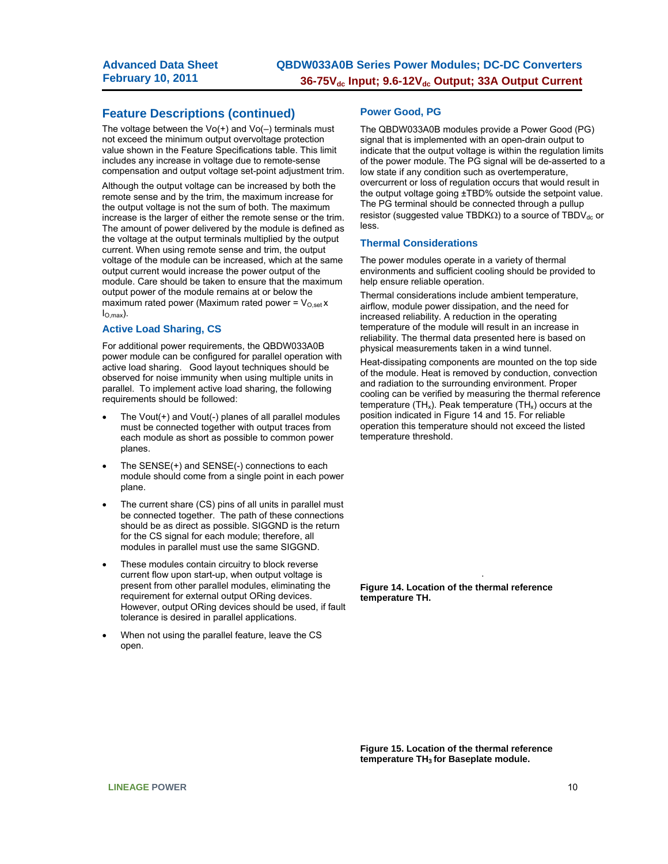### **Feature Descriptions (continued)**

The voltage between the  $Vo(+)$  and  $Vo(-)$  terminals must not exceed the minimum output overvoltage protection value shown in the Feature Specifications table. This limit includes any increase in voltage due to remote-sense compensation and output voltage set-point adjustment trim.

Although the output voltage can be increased by both the remote sense and by the trim, the maximum increase for the output voltage is not the sum of both. The maximum increase is the larger of either the remote sense or the trim. The amount of power delivered by the module is defined as the voltage at the output terminals multiplied by the output current. When using remote sense and trim, the output voltage of the module can be increased, which at the same output current would increase the power output of the module. Care should be taken to ensure that the maximum output power of the module remains at or below the maximum rated power (Maximum rated power =  $V_{O,set}$  x  $I_{\text{O,max}}$ ).

#### **Active Load Sharing, CS**

For additional power requirements, the QBDW033A0B power module can be configured for parallel operation with active load sharing. Good layout techniques should be observed for noise immunity when using multiple units in parallel. To implement active load sharing, the following requirements should be followed:

- The Vout(+) and Vout(-) planes of all parallel modules must be connected together with output traces from each module as short as possible to common power planes.
- The SENSE(+) and SENSE(-) connections to each module should come from a single point in each power plane.
- The current share (CS) pins of all units in parallel must be connected together. The path of these connections should be as direct as possible. SIGGND is the return for the CS signal for each module; therefore, all modules in parallel must use the same SIGGND.
- These modules contain circuitry to block reverse current flow upon start-up, when output voltage is present from other parallel modules, eliminating the requirement for external output ORing devices. However, output ORing devices should be used, if fault tolerance is desired in parallel applications.
- When not using the parallel feature, leave the CS open.

#### **Power Good, PG**

The QBDW033A0B modules provide a Power Good (PG) signal that is implemented with an open-drain output to indicate that the output voltage is within the regulation limits of the power module. The PG signal will be de-asserted to a low state if any condition such as overtemperature, overcurrent or loss of regulation occurs that would result in the output voltage going ±TBD% outside the setpoint value. The PG terminal should be connected through a pullup resistor (suggested value TBDK $\Omega$ ) to a source of TBDV<sub>dc</sub> or less.

#### **Thermal Considerations**

The power modules operate in a variety of thermal environments and sufficient cooling should be provided to help ensure reliable operation.

Thermal considerations include ambient temperature, airflow, module power dissipation, and the need for increased reliability. A reduction in the operating temperature of the module will result in an increase in reliability. The thermal data presented here is based on physical measurements taken in a wind tunnel.

Heat-dissipating components are mounted on the top side of the module. Heat is removed by conduction, convection and radiation to the surrounding environment. Proper cooling can be verified by measuring the thermal reference temperature (TH<sub>x</sub>). Peak temperature (TH<sub>x</sub>) occurs at the position indicated in Figure 14 and 15. For reliable operation this temperature should not exceed the listed temperature threshold.

**Figure 14. Location of the thermal reference temperature TH.** 

.

**Figure 15. Location of the thermal reference temperature TH3 for Baseplate module.**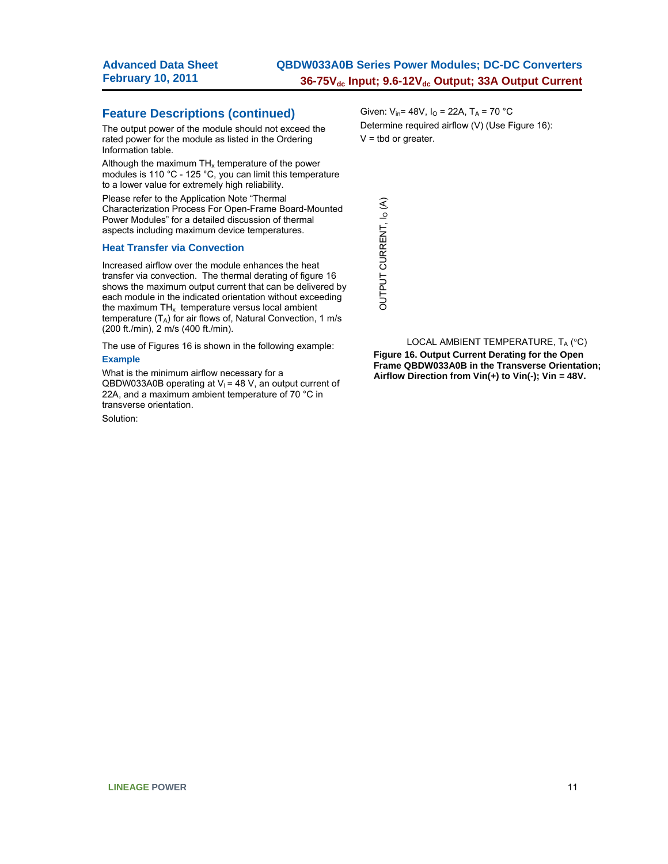### **Feature Descriptions (continued)**

The output power of the module should not exceed the rated power for the module as listed in the Ordering Information table.

Although the maximum  $TH_x$  temperature of the power modules is 110 °C - 125 °C, you can limit this temperature to a lower value for extremely high reliability.

Please refer to the Application Note "Thermal Characterization Process For Open-Frame Board-Mounted Power Modules" for a detailed discussion of thermal aspects including maximum device temperatures.

#### **Heat Transfer via Convection**

Increased airflow over the module enhances the heat transfer via convection. The thermal derating of figure 16 shows the maximum output current that can be delivered by each module in the indicated orientation without exceeding the maximum  $TH_x$  temperature versus local ambient temperature  $(T_A)$  for air flows of, Natural Convection, 1 m/s (200 ft./min), 2 m/s (400 ft./min).

The use of Figures 16 is shown in the following example: **Example** 

What is the minimum airflow necessary for a QBDW033A0B operating at  $V_1$  = 48 V, an output current of 22A, and a maximum ambient temperature of 70 °C in transverse orientation.

Solution:

Given:  $V_{in}$ = 48V,  $I_{O}$  = 22A,  $T_{A}$  = 70 °C Determine required airflow (V) (Use Figure 16):  $V =$  tbd or greater.

OUTPUT CURRENT, IO (A) OUTPUT CURRENT, I<sub>O</sub> (A)

LOCAL AMBIENT TEMPERATURE,  $T_A$  (°C) **Figure 16. Output Current Derating for the Open Frame QBDW033A0B in the Transverse Orientation; Airflow Direction from Vin(+) to Vin(-); Vin = 48V.**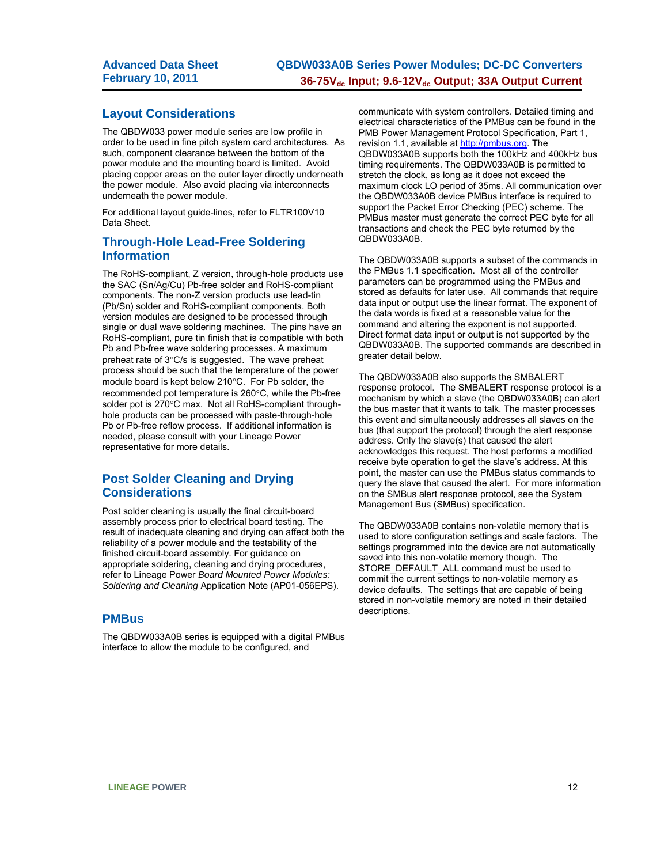### **Layout Considerations**

The QBDW033 power module series are low profile in order to be used in fine pitch system card architectures. As such, component clearance between the bottom of the power module and the mounting board is limited. Avoid placing copper areas on the outer layer directly underneath the power module. Also avoid placing via interconnects underneath the power module.

For additional layout guide-lines, refer to FLTR100V10 Data Sheet.

### **Through-Hole Lead-Free Soldering Information**

The RoHS-compliant, Z version, through-hole products use the SAC (Sn/Ag/Cu) Pb-free solder and RoHS-compliant components. The non-Z version products use lead-tin (Pb/Sn) solder and RoHS-compliant components. Both version modules are designed to be processed through single or dual wave soldering machines. The pins have an RoHS-compliant, pure tin finish that is compatible with both Pb and Pb-free wave soldering processes. A maximum preheat rate of  $3^{\circ}$ C/s is suggested. The wave preheat process should be such that the temperature of the power module board is kept below  $210^{\circ}$ C. For Pb solder, the recommended pot temperature is 260°C, while the Pb-free solder pot is 270°C max. Not all RoHS-compliant throughhole products can be processed with paste-through-hole Pb or Pb-free reflow process. If additional information is needed, please consult with your Lineage Power representative for more details.

### **Post Solder Cleaning and Drying Considerations**

Post solder cleaning is usually the final circuit-board assembly process prior to electrical board testing. The result of inadequate cleaning and drying can affect both the reliability of a power module and the testability of the finished circuit-board assembly. For guidance on appropriate soldering, cleaning and drying procedures, refer to Lineage Power *Board Mounted Power Modules: Soldering and Cleaning* Application Note (AP01-056EPS).

### **PMBus**

The QBDW033A0B series is equipped with a digital PMBus interface to allow the module to be configured, and

communicate with system controllers. Detailed timing and electrical characteristics of the PMBus can be found in the PMB Power Management Protocol Specification, Part 1, revision 1.1, available at http://pmbus.org. The QBDW033A0B supports both the 100kHz and 400kHz bus timing requirements. The QBDW033A0B is permitted to stretch the clock, as long as it does not exceed the maximum clock LO period of 35ms. All communication over the QBDW033A0B device PMBus interface is required to support the Packet Error Checking (PEC) scheme. The PMBus master must generate the correct PEC byte for all transactions and check the PEC byte returned by the QBDW033A0B.

The QBDW033A0B supports a subset of the commands in the PMBus 1.1 specification. Most all of the controller parameters can be programmed using the PMBus and stored as defaults for later use. All commands that require data input or output use the linear format. The exponent of the data words is fixed at a reasonable value for the command and altering the exponent is not supported. Direct format data input or output is not supported by the QBDW033A0B. The supported commands are described in greater detail below.

The QBDW033A0B also supports the SMBALERT response protocol. The SMBALERT response protocol is a mechanism by which a slave (the QBDW033A0B) can alert the bus master that it wants to talk. The master processes this event and simultaneously addresses all slaves on the bus (that support the protocol) through the alert response address. Only the slave(s) that caused the alert acknowledges this request. The host performs a modified receive byte operation to get the slave's address. At this point, the master can use the PMBus status commands to query the slave that caused the alert. For more information on the SMBus alert response protocol, see the System Management Bus (SMBus) specification.

The QBDW033A0B contains non-volatile memory that is used to store configuration settings and scale factors. The settings programmed into the device are not automatically saved into this non-volatile memory though. The STORE\_DEFAULT\_ALL command must be used to commit the current settings to non-volatile memory as device defaults. The settings that are capable of being stored in non-volatile memory are noted in their detailed descriptions.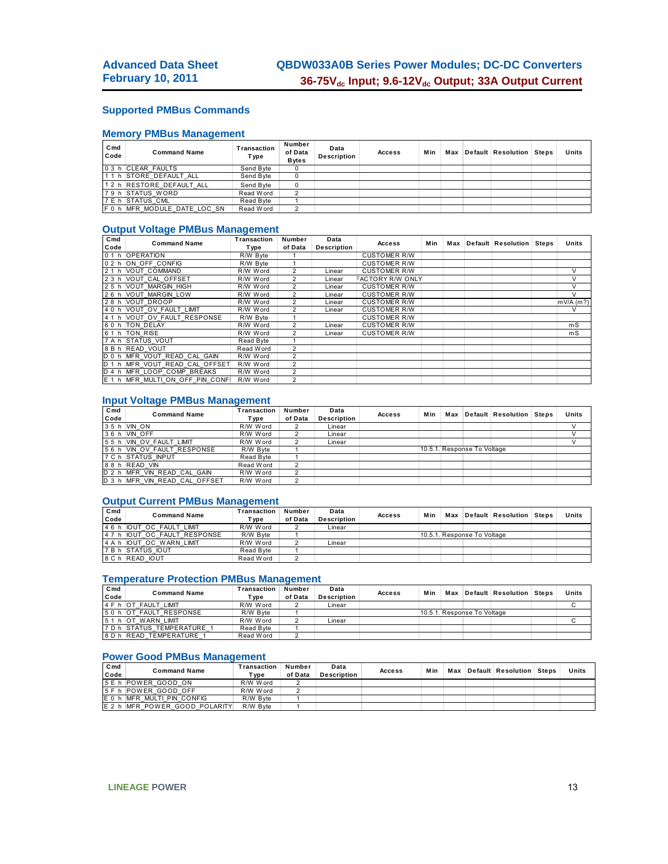### **Supported PMBus Commands**

### **Memory PMBus Management**

| Cmd<br>Code | <b>Command Name</b>          | Transaction<br>Type | Number<br>of Data<br><b>B</b> vtes | Data<br><b>Description</b> | <b>Access</b> | Min |  | Max Default Resolution Steps | Units |
|-------------|------------------------------|---------------------|------------------------------------|----------------------------|---------------|-----|--|------------------------------|-------|
|             | 0 3 h CLEAR FAULTS           | Send Byte           |                                    |                            |               |     |  |                              |       |
|             | 11 h STORE DEFAULT ALL       | Send Byte           |                                    |                            |               |     |  |                              |       |
|             | 12 h RESTORE DEFAULT ALL     | Send Byte           |                                    |                            |               |     |  |                              |       |
|             | 79 h STATUS WORD             | Read Word           |                                    |                            |               |     |  |                              |       |
|             | 7 E h STATUS CML             | Read Byte           |                                    |                            |               |     |  |                              |       |
|             | F 0 h MFR MODULE DATE LOC SN | Read Word           |                                    |                            |               |     |  |                              |       |

### **Output Voltage PMBus Management**

| C <sub>md</sub> | <b>Command Name</b>              | Transaction | Number         | Data        |                         |     |  |                              |             |
|-----------------|----------------------------------|-------------|----------------|-------------|-------------------------|-----|--|------------------------------|-------------|
| Code            |                                  | Type        | of Data        | Description | <b>Access</b>           | Min |  | Max Default Resolution Steps | Units       |
|                 | 0 1 h OPERATION                  | R/W Byte    |                |             | <b>CUSTOMER R/W</b>     |     |  |                              |             |
|                 | 02 h ON OFF CONFIG               | R/W Byte    |                |             | <b>CUSTOMER R/W</b>     |     |  |                              |             |
|                 | 2 1 h VOUT COMMAND               | R/W Word    |                | ∟inear      | <b>CUSTOMER R/W</b>     |     |  |                              | $\vee$      |
|                 | 23 h VOUT CAL OFFSET             | R/W Word    |                | Linear      | <b>FACTORY R/W ONLY</b> |     |  |                              | v           |
|                 | 25 h VOUT MARGIN HIGH            | R/W Word    |                | Linear      | <b>CUSTOMER R/W</b>     |     |  |                              | v           |
|                 | 26 h VOUT MARGIN LOW             | R/W Word    | 2              | Linear      | <b>CUSTOMER R/W</b>     |     |  |                              | V           |
|                 | 28 h VOUT DROOP                  | R/W Word    | 2              | Linear      | <b>CUSTOMER R/W</b>     |     |  |                              | $mV/A$ (m?) |
|                 | 40 h VOUT OV FAULT LIMIT         | R/W Word    | 2              | Linear      | <b>CUSTOMER R/W</b>     |     |  |                              | v           |
|                 | 4 1 h VOUT OV FAULT RESPONSE     | R/W Byte    |                |             | <b>CUSTOMER R/W</b>     |     |  |                              |             |
|                 | 60 h TON DELAY                   | R/W Word    |                | Linear      | <b>CUSTOMER R/W</b>     |     |  |                              | mS          |
|                 | 6 1 h TON RISE                   | R/W Word    |                | Linear      | <b>CUSTOMER R/W</b>     |     |  |                              | mS          |
|                 | 7 A h STATUS VOUT                | Read Byte   |                |             |                         |     |  |                              |             |
|                 | 8 B h READ VOUT                  | Read Word   |                |             |                         |     |  |                              |             |
|                 | D 0 h MFR VOUT READ CAL GAIN     | R/W Word    |                |             |                         |     |  |                              |             |
|                 | D 1 h MFR VOUT READ CAL OFFSET   | R/W Word    | $\overline{2}$ |             |                         |     |  |                              |             |
|                 | D 4 h MFR LOOP COMP BREAKS       | R/W Word    | $\overline{2}$ |             |                         |     |  |                              |             |
|                 | E 1 h MFR MULTI ON OFF PIN CONFI | R/W Word    | $\overline{2}$ |             |                         |     |  |                              |             |

#### **Input Voltage PMBus Management**

| C <sub>md</sub> | <b>Command Name</b>           | Transaction | Number  | Data               | <b>Access</b> | Min |                             | Max Default Resolution Steps | Units |
|-----------------|-------------------------------|-------------|---------|--------------------|---------------|-----|-----------------------------|------------------------------|-------|
| Code            |                               | Tvpe        | of Data | <b>Description</b> |               |     |                             |                              |       |
|                 | 3 5 h VIN ON                  | R/W Word    |         | Linear             |               |     |                             |                              |       |
|                 | 36 h VIN OFF                  | R/W Word    |         | Linear             |               |     |                             |                              |       |
|                 | 55 h VIN OV FAULT LIMIT       | R/W Word    |         | Linear             |               |     |                             |                              |       |
|                 | 56 h VIN OV FAULT RESPONSE    | R/W Byte    |         |                    |               |     | 10.5.1. Response To Voltage |                              |       |
|                 | 7 C h STATUS INPUT            | Read Byte   |         |                    |               |     |                             |                              |       |
|                 | 88 h READ VIN                 | Read Word   |         |                    |               |     |                             |                              |       |
|                 | D 2 h MFR VIN READ CAL GAIN   | R/W Word    |         |                    |               |     |                             |                              |       |
|                 | D 3 h MFR VIN READ CAL OFFSET | R/W Word    |         |                    |               |     |                             |                              |       |

#### **Output Current PMBus Management**

| Cmd  | <b>Command Name</b>         | <b>Fransaction</b> | Number  | Data               | <b>Access</b> | Min |                             | Max Default Resolution Steps | Units |
|------|-----------------------------|--------------------|---------|--------------------|---------------|-----|-----------------------------|------------------------------|-------|
| Code |                             | Type               | of Data | <b>Description</b> |               |     |                             |                              |       |
|      | 4 6 h IOUT OC FAULT LIMIT   | R/W Word           |         | Linear             |               |     |                             |                              |       |
|      | 47 h IOUT OC FAULT RESPONSE | R/W Byte           |         |                    |               |     | 10.5.1. Response To Voltage |                              |       |
|      | 4 A h IOUT OC WARN LIMIT    | R/W Word           |         | ∟inear             |               |     |                             |                              |       |
|      | 7 B h STATUS IOUT           | Read Byte          |         |                    |               |     |                             |                              |       |
|      | 8 C h READ IOUT             | Read Word          |         |                    |               |     |                             |                              |       |

#### **Temperature Protection PMBus Management**

| C <sub>md</sub> | <b>Command Name</b>        | Transaction | Number  | Data               |               | Min |                             | Max Default Resolution Steps | Units |
|-----------------|----------------------------|-------------|---------|--------------------|---------------|-----|-----------------------------|------------------------------|-------|
| Code            |                            | Tvpe        | of Data | <b>Description</b> | <b>Access</b> |     |                             |                              |       |
|                 | 4 F h OT FAULT LIMIT       | R/W Word    |         | Linear             |               |     |                             |                              |       |
|                 | 50 h OT FAULT RESPONSE     | R/W Byte    |         |                    |               |     | 10.5.1. Response To Voltage |                              |       |
|                 | 51 h OT WARN LIMIT         | R/W Word    |         | Linear             |               |     |                             |                              |       |
|                 | 7 D h STATUS TEMPERATURE 1 | Read Byte   |         |                    |               |     |                             |                              |       |
|                 | 8 D h READ TEMPERATURE 1   | Read Word   |         |                    |               |     |                             |                              |       |

#### **Power Good PMBus Management**

| Cmd<br>Code | Command Name                  | Transaction<br>$\mathbf{v}_{\mathsf{ype}}$ | Number<br>of Data | Data<br>Description | <b>Access</b> | <b>M</b> in |  | Max Default Resolution Steps | Units |
|-------------|-------------------------------|--------------------------------------------|-------------------|---------------------|---------------|-------------|--|------------------------------|-------|
|             | 5 E h POWER GOOD ON           | R/W Word                                   |                   |                     |               |             |  |                              |       |
|             | 5 F h POWER GOOD OFF          | R/W Word                                   |                   |                     |               |             |  |                              |       |
|             | E 0 h MFR MULTI PIN CONFIG    | R/W Byte                                   |                   |                     |               |             |  |                              |       |
|             | E 2 h MFR POWER GOOD POLARITY | R/W Byte                                   |                   |                     |               |             |  |                              |       |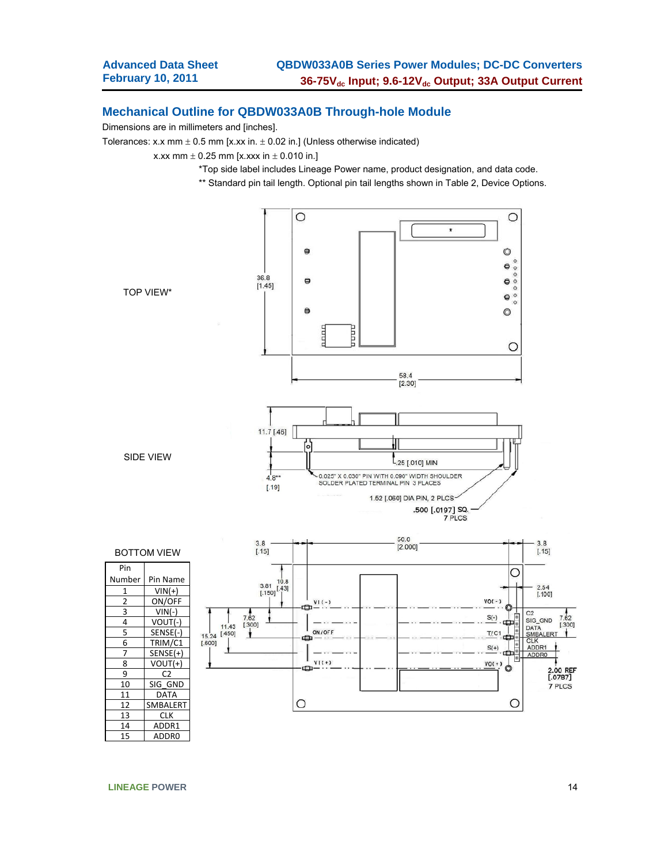### **Mechanical Outline for QBDW033A0B Through-hole Module**

Dimensions are in millimeters and [inches].

Tolerances: x.x mm  $\pm$  0.5 mm [x.xx in.  $\pm$  0.02 in.] (Unless otherwise indicated)

x.xx mm  $\pm$  0.25 mm [x.xxx in  $\pm$  0.010 in.]

- \*Top side label includes Lineage Power name, product designation, and data code.
- \*\* Standard pin tail length. Optional pin tail lengths shown in Table 2, Device Options.



**LINEAGE POWER** 14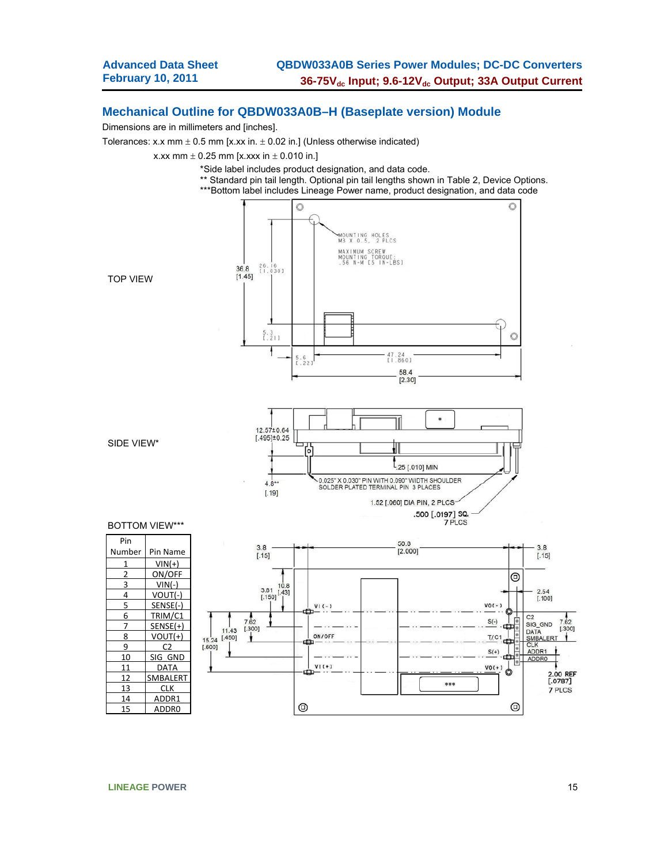### **Mechanical Outline for QBDW033A0B–H (Baseplate version) Module**

Dimensions are in millimeters and [inches].

Tolerances: x.x mm  $\pm$  0.5 mm [x.xx in.  $\pm$  0.02 in.] (Unless otherwise indicated)

x.xx mm  $\pm$  0.25 mm [x.xxx in  $\pm$  0.010 in.]



**LINEAGE POWER** 15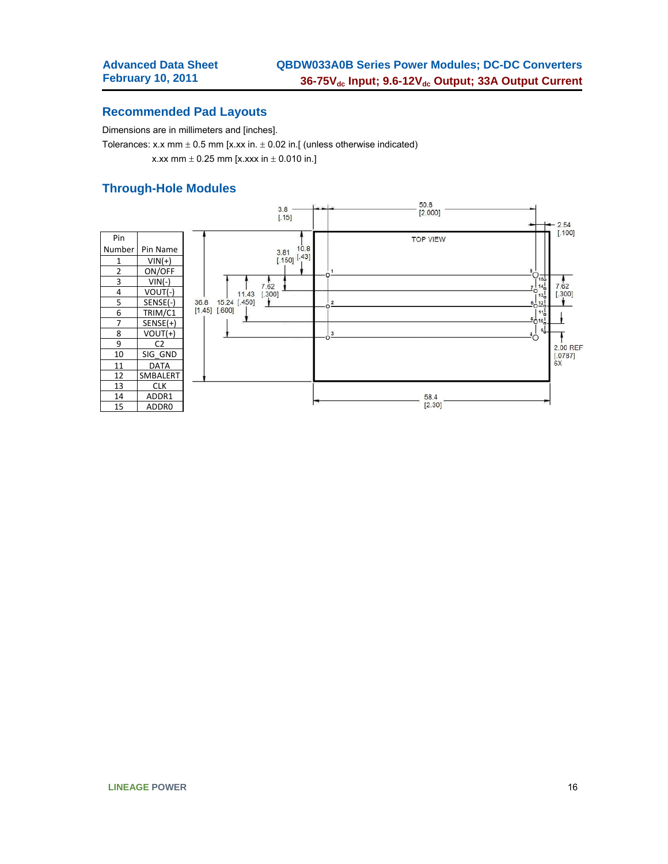### **Recommended Pad Layouts**

Dimensions are in millimeters and [inches].

Tolerances: x.x mm  $\pm$  0.5 mm [x.xx in.  $\pm$  0.02 in.[ (unless otherwise indicated) x.xx mm  $\pm$  0.25 mm [x.xxx in  $\pm$  0.010 in.]

### **Through-Hole Modules**